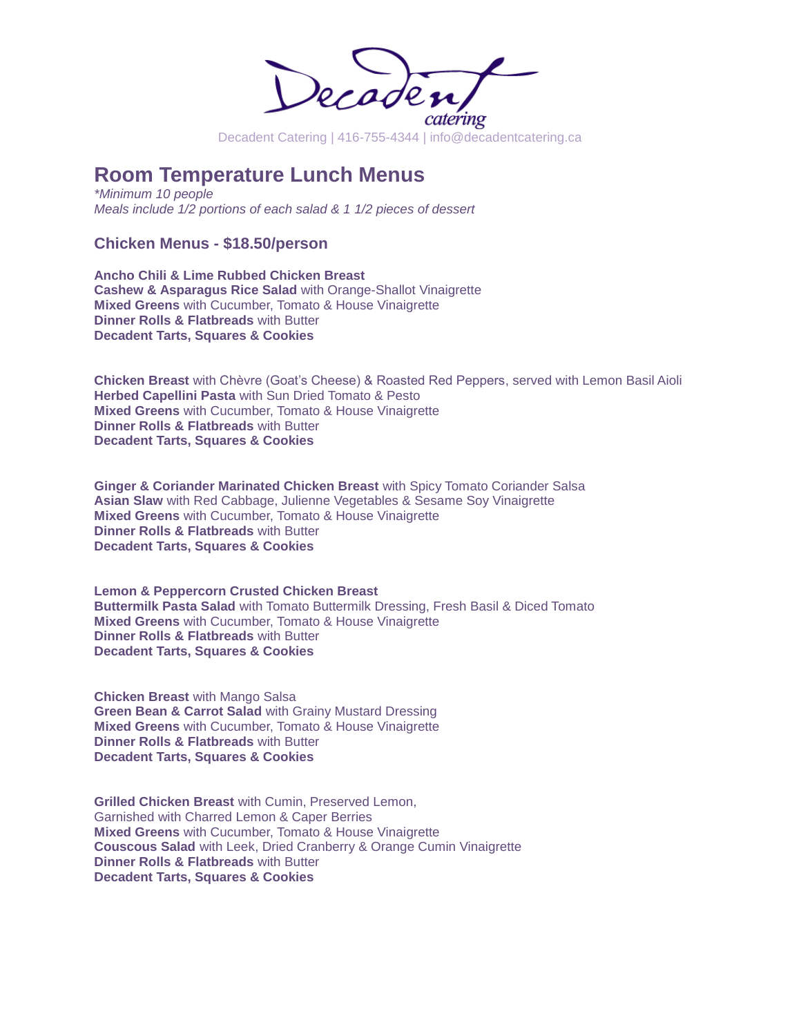

# **Room Temperature Lunch Menus**

*\*Minimum 10 people Meals include 1/2 portions of each salad & 1 1/2 pieces of dessert* 

## **Chicken Menus - \$18.50/person**

**Ancho Chili & Lime Rubbed Chicken Breast Cashew & Asparagus Rice Salad** with Orange-Shallot Vinaigrette **Mixed Greens** with Cucumber, Tomato & House Vinaigrette **Dinner Rolls & Flatbreads** with Butter **Decadent Tarts, Squares & Cookies**

**Chicken Breast** with Chèvre (Goat's Cheese) & Roasted Red Peppers, served with Lemon Basil Aioli **Herbed Capellini Pasta** with Sun Dried Tomato & Pesto **Mixed Greens** with Cucumber, Tomato & House Vinaigrette **Dinner Rolls & Flatbreads** with Butter **Decadent Tarts, Squares & Cookies**

**Ginger & Coriander Marinated Chicken Breast** with Spicy Tomato Coriander Salsa **Asian Slaw** with Red Cabbage, Julienne Vegetables & Sesame Soy Vinaigrette **Mixed Greens** with Cucumber, Tomato & House Vinaigrette **Dinner Rolls & Flatbreads** with Butter **Decadent Tarts, Squares & Cookies**

**Lemon & Peppercorn Crusted Chicken Breast Buttermilk Pasta Salad** with Tomato Buttermilk Dressing, Fresh Basil & Diced Tomato **Mixed Greens** with Cucumber, Tomato & House Vinaigrette **Dinner Rolls & Flatbreads** with Butter **Decadent Tarts, Squares & Cookies**

**Chicken Breast** with Mango Salsa **Green Bean & Carrot Salad** with Grainy Mustard Dressing **Mixed Greens** with Cucumber, Tomato & House Vinaigrette **Dinner Rolls & Flatbreads** with Butter **Decadent Tarts, Squares & Cookies**

**Grilled Chicken Breast** with Cumin, Preserved Lemon, Garnished with Charred Lemon & Caper Berries **Mixed Greens** with Cucumber, Tomato & House Vinaigrette **Couscous Salad** with Leek, Dried Cranberry & Orange Cumin Vinaigrette **Dinner Rolls & Flatbreads** with Butter **Decadent Tarts, Squares & Cookies**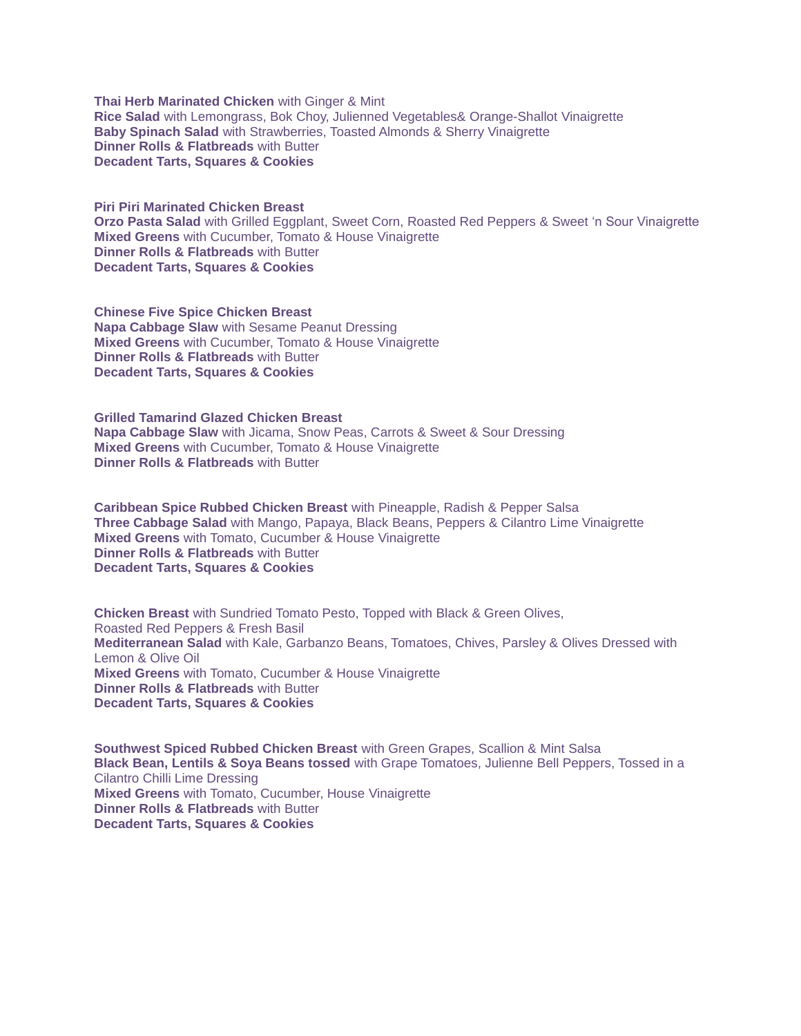**Thai Herb Marinated Chicken** with Ginger & Mint **Rice Salad** with Lemongrass, Bok Choy, Julienned Vegetables& Orange-Shallot Vinaigrette **Baby Spinach Salad** with Strawberries, Toasted Almonds & Sherry Vinaigrette **Dinner Rolls & Flatbreads** with Butter **Decadent Tarts, Squares & Cookies**

**Piri Piri Marinated Chicken Breast Orzo Pasta Salad** with Grilled Eggplant, Sweet Corn, Roasted Red Peppers & Sweet 'n Sour Vinaigrette **Mixed Greens** with Cucumber, Tomato & House Vinaigrette **Dinner Rolls & Flatbreads** with Butter **Decadent Tarts, Squares & Cookies**

**Chinese Five Spice Chicken Breast Napa Cabbage Slaw** with Sesame Peanut Dressing **Mixed Greens** with Cucumber, Tomato & House Vinaigrette **Dinner Rolls & Flatbreads** with Butter **Decadent Tarts, Squares & Cookies**

**Grilled Tamarind Glazed Chicken Breast Napa Cabbage Slaw** with Jicama, Snow Peas, Carrots & Sweet & Sour Dressing **Mixed Greens** with Cucumber, Tomato & House Vinaigrette **Dinner Rolls & Flatbreads** with Butter

**Caribbean Spice Rubbed Chicken Breast** with Pineapple, Radish & Pepper Salsa **Three Cabbage Salad** with Mango, Papaya, Black Beans, Peppers & Cilantro Lime Vinaigrette **Mixed Greens** with Tomato, Cucumber & House Vinaigrette **Dinner Rolls & Flatbreads** with Butter **Decadent Tarts, Squares & Cookies**

**Chicken Breast** with Sundried Tomato Pesto, Topped with Black & Green Olives, Roasted Red Peppers & Fresh Basil **Mediterranean Salad** with Kale, Garbanzo Beans, Tomatoes, Chives, Parsley & Olives Dressed with Lemon & Olive Oil **Mixed Greens** with Tomato, Cucumber & House Vinaigrette **Dinner Rolls & Flatbreads** with Butter **Decadent Tarts, Squares & Cookies**

**Southwest Spiced Rubbed Chicken Breast** with Green Grapes, Scallion & Mint Salsa **Black Bean, Lentils & Soya Beans tossed** with Grape Tomatoes, Julienne Bell Peppers, Tossed in a Cilantro Chilli Lime Dressing **Mixed Greens** with Tomato, Cucumber, House Vinaigrette **Dinner Rolls & Flatbreads** with Butter **Decadent Tarts, Squares & Cookies**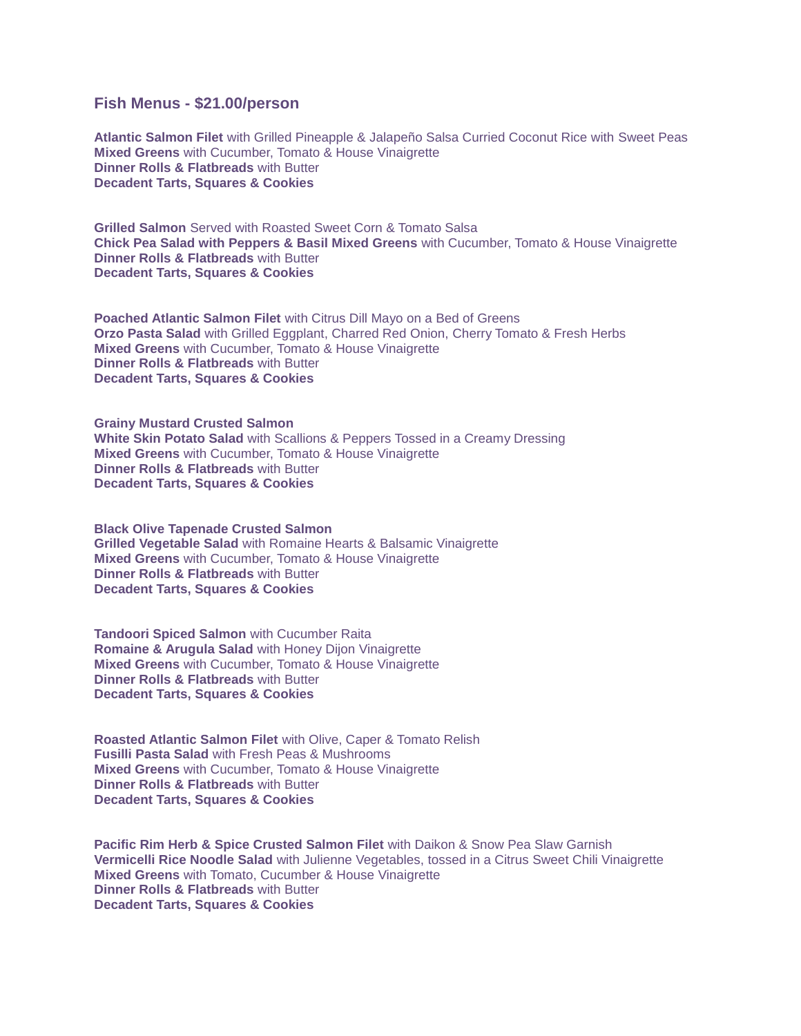### **Fish Menus - \$21.00/person**

**Atlantic Salmon Filet** with Grilled Pineapple & Jalapeño Salsa Curried Coconut Rice with Sweet Peas **Mixed Greens** with Cucumber, Tomato & House Vinaigrette **Dinner Rolls & Flatbreads** with Butter **Decadent Tarts, Squares & Cookies**

**Grilled Salmon** Served with Roasted Sweet Corn & Tomato Salsa **Chick Pea Salad with Peppers & Basil Mixed Greens** with Cucumber, Tomato & House Vinaigrette **Dinner Rolls & Flatbreads** with Butter **Decadent Tarts, Squares & Cookies**

**Poached Atlantic Salmon Filet** with Citrus Dill Mayo on a Bed of Greens **Orzo Pasta Salad** with Grilled Eggplant, Charred Red Onion, Cherry Tomato & Fresh Herbs **Mixed Greens** with Cucumber, Tomato & House Vinaigrette **Dinner Rolls & Flatbreads** with Butter **Decadent Tarts, Squares & Cookies**

**Grainy Mustard Crusted Salmon White Skin Potato Salad** with Scallions & Peppers Tossed in a Creamy Dressing **Mixed Greens** with Cucumber, Tomato & House Vinaigrette **Dinner Rolls & Flatbreads** with Butter **Decadent Tarts, Squares & Cookies**

**Black Olive Tapenade Crusted Salmon Grilled Vegetable Salad** with Romaine Hearts & Balsamic Vinaigrette **Mixed Greens** with Cucumber, Tomato & House Vinaigrette **Dinner Rolls & Flatbreads** with Butter **Decadent Tarts, Squares & Cookies**

**Tandoori Spiced Salmon** with Cucumber Raita **Romaine & Arugula Salad** with Honey Dijon Vinaigrette **Mixed Greens** with Cucumber, Tomato & House Vinaigrette **Dinner Rolls & Flatbreads** with Butter **Decadent Tarts, Squares & Cookies**

**Roasted Atlantic Salmon Filet** with Olive, Caper & Tomato Relish **Fusilli Pasta Salad** with Fresh Peas & Mushrooms **Mixed Greens** with Cucumber, Tomato & House Vinaigrette **Dinner Rolls & Flatbreads** with Butter **Decadent Tarts, Squares & Cookies**

**Pacific Rim Herb & Spice Crusted Salmon Filet** with Daikon & Snow Pea Slaw Garnish **Vermicelli Rice Noodle Salad** with Julienne Vegetables, tossed in a Citrus Sweet Chili Vinaigrette **Mixed Greens** with Tomato, Cucumber & House Vinaigrette **Dinner Rolls & Flatbreads** with Butter **Decadent Tarts, Squares & Cookies**